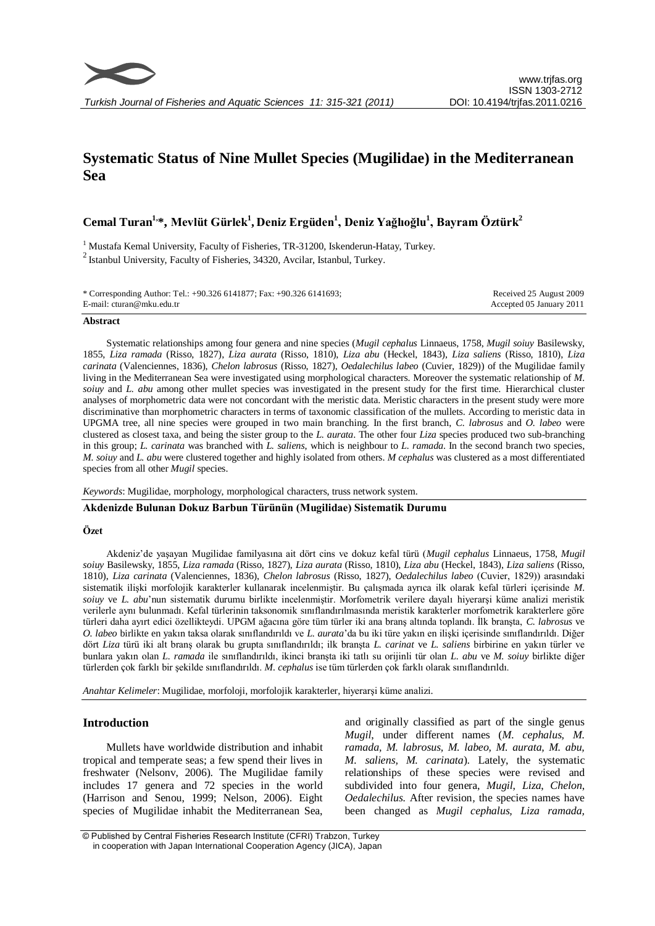

# **Systematic Status of Nine Mullet Species (Mugilidae) in the Mediterranean Sea**

**Cemal Turan1,\*, Mevlüt Gürlek<sup>1</sup> , Deniz Ergüden<sup>1</sup> , Deniz Yağlıoğlu<sup>1</sup> , Bayram Öztürk<sup>2</sup>**

<sup>1</sup> Mustafa Kemal University, Faculty of Fisheries, TR-31200, Iskenderun-Hatay, Turkey.  $2$  Istanbul University, Faculty of Fisheries, 34320, Avcilar, Istanbul, Turkey.

| * Corresponding Author: Tel.: +90.326 6141877; Fax: +90.326 6141693; | Received 25 August 2009  |
|----------------------------------------------------------------------|--------------------------|
| E-mail: cturan@mku.edu.tr                                            | Accepted 05 January 2011 |

### **Abstract**

Systematic relationships among four genera and nine species (*Mugil cephalus* Linnaeus, 1758, *Mugil soiuy* Basilewsky, 1855, *Liza ramada* (Risso, 1827), *Liza aurata* (Risso, 1810), *Liza abu* (Heckel, 1843), *Liza saliens* (Risso, 1810), *Liza carinata* (Valenciennes, 1836), *Chelon labrosus* (Risso, 1827), *Oedalechilus labeo* (Cuvier, 1829)) of the Mugilidae family living in the Mediterranean Sea were investigated using morphological characters. Moreover the systematic relationship of *M. soiuy* and *L. abu* among other mullet species was investigated in the present study for the first time. Hierarchical cluster analyses of morphometric data were not concordant with the meristic data. Meristic characters in the present study were more discriminative than morphometric characters in terms of taxonomic classification of the mullets. According to meristic data in UPGMA tree, all nine species were grouped in two main branching. In the first branch, *C. labrosus* and *O. labeo* were clustered as closest taxa, and being the sister group to the *L. aurata*. The other four *Liza* species produced two sub-branching in this group; *L. carinata* was branched with *L. saliens*, which is neighbour to *L. ramada*. In the second branch two species, *M. soiuy* and *L. abu* were clustered together and highly isolated from others. *M cephalus* was clustered as a most differentiated species from all other *Mugil* species.

*Keywords*: Mugilidae, morphology, morphological characters, truss network system.

## **Akdenizde Bulunan Dokuz Barbun Türünün (Mugilidae) Sistematik Durumu**

#### **Özet**

Akdeniz'de yaşayan Mugilidae familyasına ait dört cins ve dokuz kefal türü (*Mugil cephalus* Linnaeus, 1758, *Mugil soiuy* Basilewsky, 1855, *Liza ramada* (Risso, 1827), *Liza aurata* (Risso, 1810), *Liza abu* (Heckel, 1843), *Liza saliens* (Risso, 1810), *Liza carinata* (Valenciennes, 1836), *Chelon labrosus* (Risso, 1827), *Oedalechilus labeo* (Cuvier, 1829)) arasındaki sistematik ilişki morfolojik karakterler kullanarak incelenmiştir. Bu çalışmada ayrıca ilk olarak kefal türleri içerisinde *M. soiuy* ve *L. abu*'nun sistematik durumu birlikte incelenmiştir. Morfometrik verilere dayalı hiyerarşi küme analizi meristik verilerle aynı bulunmadı. Kefal türlerinin taksonomik sınıflandırılmasında meristik karakterler morfometrik karakterlere göre türleri daha ayırt edici özellikteydi. UPGM ağacına göre tüm türler iki ana branş altında toplandı. İlk branşta, *C. labrosus* ve *O. labeo* birlikte en yakın taksa olarak sınıflandırıldı ve *L. aurata*'da bu iki türe yakın en ilişki içerisinde sınıflandırıldı. Diğer dört *Liza* türü iki alt branş olarak bu grupta sınıflandırıldı; ilk branşta *L. carinat* ve *L. saliens* birbirine en yakın türler ve bunlara yakın olan *L. ramada* ile sınıflandırıldı, ikinci branşta iki tatlı su orijinli tür olan *L. abu* ve *M. soiuy* birlikte diğer türlerden çok farklı bir şekilde sınıflandırıldı. *M. cephalus* ise tüm türlerden çok farklı olarak sınıflandırıldı.

*Anahtar Kelimeler*: Mugilidae, morfoloji, morfolojik karakterler, hiyerarşi küme analizi.

# **Introduction**

Mullets have worldwide distribution and inhabit tropical and temperate seas; a few spend their lives in freshwater (Nelsonv, 2006). The Mugilidae family includes 17 genera and 72 species in the world (Harrison and Senou, 1999; Nelson, 2006). Eight species of Mugilidae inhabit the Mediterranean Sea,

and originally classified as part of the single genus *Mugil*, under different names (*M. cephalus, M. ramada, M. labrosus, M. labeo, M. aurata, M. abu, M. saliens, M. carinata*). Lately, the systematic relationships of these species were revised and subdivided into four genera, *Mugil*, *Liza*, *Chelon*, *Oedalechilus.* After revision*,* the species names have been changed as *Mugil cephalus, Liza ramada,* 

© Published by Central Fisheries Research Institute (CFRI) Trabzon, Turkey in cooperation with Japan International Cooperation Agency (JICA), Japan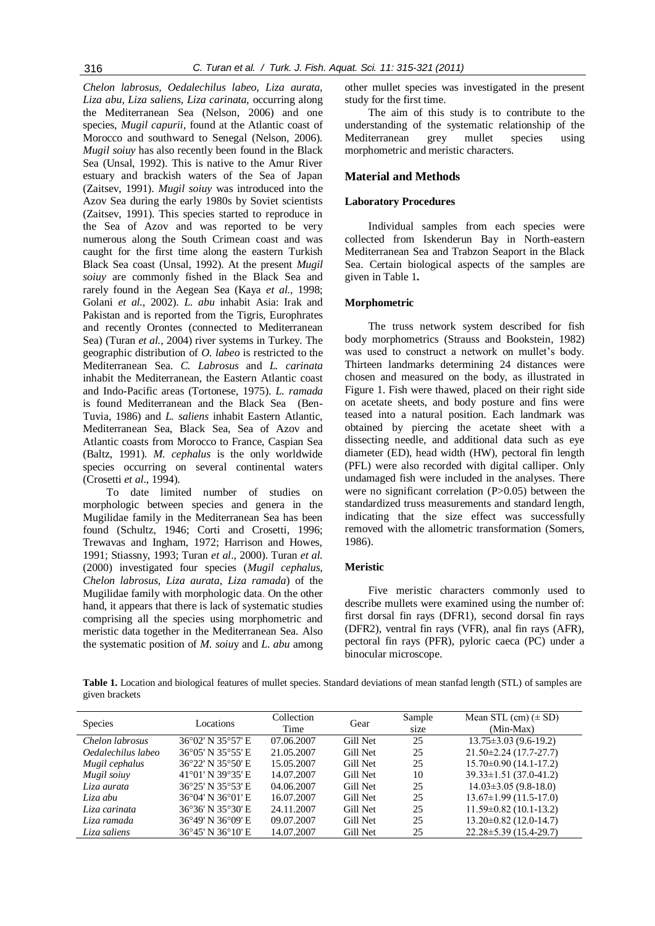*Chelon labrosus, Oedalechilus labeo, Liza aurata, Liza abu, Liza saliens, Liza carinata,* occurring along the Mediterranean Sea (Nelson, 2006) and one species, *Mugil capurii,* found at the Atlantic coast of Morocco and southward to Senegal (Nelson, 2006). *Mugil soiuy* has also recently been found in the Black Sea (Unsal, 1992). This is native to the Amur River estuary and brackish waters of the Sea of Japan (Zaitsev, 1991). *Mugil soiuy* was introduced into the Azov Sea during the early 1980s by Soviet scientists (Zaitsev, 1991). This species started to reproduce in the Sea of Azov and was reported to be very numerous along the South Crimean coast and was caught for the first time along the eastern Turkish Black Sea coast (Unsal, 1992). At the present *Mugil soiuy* are commonly fished in the Black Sea and rarely found in the Aegean Sea (Kaya *et al.,* 1998; Golani *et al.,* 2002). *L. abu* inhabit Asia: Irak and Pakistan and is reported from the Tigris, Europhrates and recently Orontes (connected to Mediterranean Sea) (Turan *et al.,* 2004) river systems in Turkey. The geographic distribution of *O. labeo* is restricted to the Mediterranean Sea. *C. Labrosus* and *L. carinata* inhabit the Mediterranean, the Eastern Atlantic coast and Indo-Pacific areas (Tortonese, 1975). *L. ramada* is found Mediterranean and the Black Sea (Ben-Tuvia, 1986) and *L. saliens* inhabit Eastern Atlantic, Mediterranean Sea, Black Sea, Sea of Azov and Atlantic coasts from Morocco to France, Caspian Sea (Baltz, 1991). *M. cephalus* is the only worldwide species occurring on several continental waters (Crosetti *et al*., 1994).

To date limited number of studies on morphologic between species and genera in the Mugilidae family in the Mediterranean Sea has been found (Schultz, 1946; Corti and Crosetti, 1996; Trewavas and Ingham, 1972; Harrison and Howes, 1991; Stiassny, 1993; Turan *et al*., 2000). Turan *et al.* (2000) investigated four species (*Mugil cephalus, Chelon labrosus, Liza aurata, Liza ramada*) of the Mugilidae family with morphologic data. On the other hand, it appears that there is lack of systematic studies comprising all the species using morphometric and meristic data together in the Mediterranean Sea. Also the systematic position of *M. soiu*y and *L. abu* among other mullet species was investigated in the present study for the first time.

The aim of this study is to contribute to the understanding of the systematic relationship of the Mediterranean grey mullet species using morphometric and meristic characters.

# **Material and Methods**

## **Laboratory Procedures**

Individual samples from each species were collected from Iskenderun Bay in North-eastern Mediterranean Sea and Trabzon Seaport in the Black Sea. Certain biological aspects of the samples are given in Table 1**.** 

## **Morphometric**

The truss network system described for fish body morphometrics (Strauss and Bookstein, 1982) was used to construct a network on mullet's body. Thirteen landmarks determining 24 distances were chosen and measured on the body, as illustrated in Figure 1. Fish were thawed, placed on their right side on acetate sheets, and body posture and fins were teased into a natural position. Each landmark was obtained by piercing the acetate sheet with a dissecting needle, and additional data such as eye diameter (ED), head width (HW), pectoral fin length (PFL) were also recorded with digital calliper. Only undamaged fish were included in the analyses. There were no significant correlation (P>0.05) between the standardized truss measurements and standard length, indicating that the size effect was successfully removed with the allometric transformation (Somers, 1986).

#### **Meristic**

Five meristic characters commonly used to describe mullets were examined using the number of: first dorsal fin rays (DFR1), second dorsal fin rays (DFR2), ventral fin rays (VFR), anal fin rays (AFR), pectoral fin rays (PFR), pyloric caeca (PC) under a binocular microscope.

**Table 1.** Location and biological features of mullet species. Standard deviations of mean stanfad length (STL) of samples are given brackets

| Species            | Locations         | Collection<br>Time | Gear     | Sample<br>size | Mean STL $(cm)$ ( $\pm$ SD)<br>(Min-Max) |
|--------------------|-------------------|--------------------|----------|----------------|------------------------------------------|
| Chelon labrosus    | 36°02' N 35°57' E | 07.06.2007         | Gill Net | 25             | $13.75 \pm 3.03$ (9.6-19.2)              |
| Oedalechilus labeo | 36°05' N 35°55' E | 21.05.2007         | Gill Net | 25             | $21.50\pm2.24(17.7-27.7)$                |
| Mugil cephalus     | 36°22′ N 35°50′ E | 15.05.2007         | Gill Net | 25             | $15.70 \pm 0.90$ (14.1-17.2)             |
| Mugil soiuy        | 41°01' N 39°35' E | 14.07.2007         | Gill Net | 10             | $39.33 \pm 1.51$ (37.0-41.2)             |
| Liza aurata        | 36°25' N 35°53' E | 04.06.2007         | Gill Net | 25             | $14.03 \pm 3.05$ (9.8-18.0)              |
| Liza abu           | 36°04' N 36°01' E | 16.07.2007         | Gill Net | 25             | $13.67 \pm 1.99$ (11.5-17.0)             |
| Liza carinata      | 36°36' N 35°30' E | 24.11.2007         | Gill Net | 25             | $11.59\pm0.82(10.1-13.2)$                |
| Liza ramada        | 36°49' N 36°09' E | 09.07.2007         | Gill Net | 25             | $13.20 \pm 0.82$ (12.0-14.7)             |
| Liza saliens       | 36°45' N 36°10' E | 14.07.2007         | Gill Net | 25             | $22.28 \pm 5.39$ (15.4-29.7)             |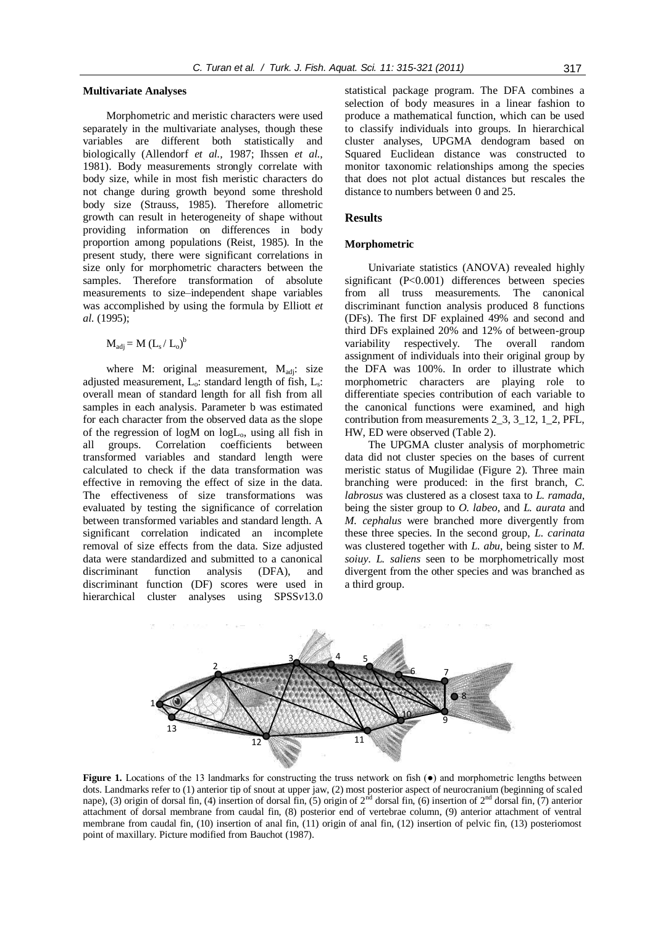#### **Multivariate Analyses**

Morphometric and meristic characters were used separately in the multivariate analyses, though these variables are different both statistically and biologically (Allendorf *et al.,* 1987; Ihssen *et al.,* 1981). Body measurements strongly correlate with body size, while in most fish meristic characters do not change during growth beyond some threshold body size (Strauss, 1985). Therefore allometric growth can result in heterogeneity of shape without providing information on differences in body proportion among populations (Reist, 1985). In the present study, there were significant correlations in size only for morphometric characters between the samples. Therefore transformation of absolute measurements to size–independent shape variables was accomplished by using the formula by Elliott *et al.* (1995);

 $M_{\rm adj} = M (L_s/L_o)^b$ 

where M: original measurement,  $M_{\text{adi}}$ : size adjusted measurement,  $L_0$ : standard length of fish,  $L_s$ : overall mean of standard length for all fish from all samples in each analysis. Parameter b was estimated for each character from the observed data as the slope of the regression of logM on logLo, using all fish in all groups. Correlation coefficients between transformed variables and standard length were calculated to check if the data transformation was effective in removing the effect of size in the data. The effectiveness of size transformations was evaluated by testing the significance of correlation between transformed variables and standard length. A significant correlation indicated an incomplete removal of size effects from the data. Size adjusted data were standardized and submitted to a canonical discriminant function analysis (DFA), and discriminant function (DF) scores were used in hierarchical cluster analyses using SPSS*v*13.0

statistical package program. The DFA combines a selection of body measures in a linear fashion to produce a mathematical function, which can be used to classify individuals into groups. In hierarchical cluster analyses, UPGMA dendogram based on Squared Euclidean distance was constructed to monitor taxonomic relationships among the species that does not plot actual distances but rescales the distance to numbers between 0 and 25.

#### **Results**

#### **Morphometric**

Univariate statistics (ANOVA) revealed highly significant (P<0.001) differences between species from all truss measurements. The canonical discriminant function analysis produced 8 functions (DFs). The first DF explained 49% and second and third DFs explained 20% and 12% of between-group variability respectively. The overall random assignment of individuals into their original group by the DFA was 100%. In order to illustrate which morphometric characters are playing role to differentiate species contribution of each variable to the canonical functions were examined, and high contribution from measurements 2\_3, 3\_12, 1\_2, PFL, HW, ED were observed (Table 2).

The UPGMA cluster analysis of morphometric data did not cluster species on the bases of current meristic status of Mugilidae (Figure 2). Three main branching were produced: in the first branch, *C. labrosus* was clustered as a closest taxa to *L. ramada*, being the sister group to *O. labeo*, and *L. aurata* and *M. cephalus* were branched more divergently from these three species. In the second group, *L. carinata* was clustered together with *L. abu*, being sister to *M. soiuy*. *L. saliens* seen to be morphometrically most divergent from the other species and was branched as a third group.



**Figure 1.** Locations of the 13 landmarks for constructing the truss network on fish ( $\bullet$ ) and morphometric lengths between dots. Landmarks refer to (1) anterior tip of snout at upper jaw, (2) most posterior aspect of neurocranium (beginning of scaled nape), (3) origin of dorsal fin, (4) insertion of dorsal fin, (5) origin of  $2^{nd}$  dorsal fin, (6) insertion of  $2^{nd}$  dorsal fin, (7) anterior attachment of dorsal membrane from caudal fin, (8) posterior end of vertebrae column, (9) anterior attachment of ventral membrane from caudal fin, (10) insertion of anal fin, (11) origin of anal fin, (12) insertion of pelvic fin, (13) posteriomost point of maxillary. Picture modified from Bauchot (1987).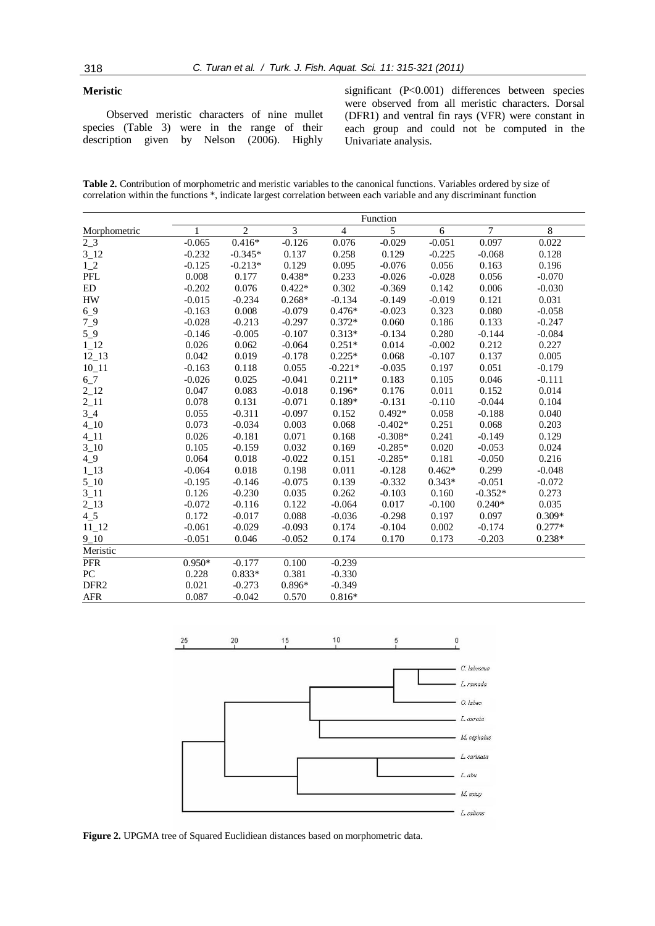# **Meristic**

Observed meristic characters of nine mullet species (Table 3) were in the range of their description given by Nelson (2006). Highly significant (P<0.001) differences between species were observed from all meristic characters. Dorsal (DFR1) and ventral fin rays (VFR) were constant in each group and could not be computed in the Univariate analysis.

**Table 2.** Contribution of morphometric and meristic variables to the canonical functions. Variables ordered by size of correlation within the functions \*, indicate largest correlation between each variable and any discriminant function

|                  | Function |                |          |                |           |          |           |          |
|------------------|----------|----------------|----------|----------------|-----------|----------|-----------|----------|
| Morphometric     |          | $\overline{2}$ | 3        | $\overline{4}$ | 5         | 6        | 7         | 8        |
| $2_{-}3$         | $-0.065$ | $0.416*$       | $-0.126$ | 0.076          | $-0.029$  | $-0.051$ | 0.097     | 0.022    |
| $3_{12}$         | $-0.232$ | $-0.345*$      | 0.137    | 0.258          | 0.129     | $-0.225$ | $-0.068$  | 0.128    |
| $1_{-2}$         | $-0.125$ | $-0.213*$      | 0.129    | 0.095          | $-0.076$  | 0.056    | 0.163     | 0.196    |
| PFL              | 0.008    | 0.177          | $0.438*$ | 0.233          | $-0.026$  | $-0.028$ | 0.056     | $-0.070$ |
| ED               | $-0.202$ | 0.076          | $0.422*$ | 0.302          | $-0.369$  | 0.142    | 0.006     | $-0.030$ |
| <b>HW</b>        | $-0.015$ | $-0.234$       | $0.268*$ | $-0.134$       | $-0.149$  | $-0.019$ | 0.121     | 0.031    |
| 69               | $-0.163$ | 0.008          | $-0.079$ | $0.476*$       | $-0.023$  | 0.323    | 0.080     | $-0.058$ |
| $7-9$            | $-0.028$ | $-0.213$       | $-0.297$ | $0.372*$       | 0.060     | 0.186    | 0.133     | $-0.247$ |
| $5-9$            | $-0.146$ | $-0.005$       | $-0.107$ | $0.313*$       | $-0.134$  | 0.280    | $-0.144$  | $-0.084$ |
| $1_12$           | 0.026    | 0.062          | $-0.064$ | $0.251*$       | 0.014     | $-0.002$ | 0.212     | 0.227    |
| $12 - 13$        | 0.042    | 0.019          | $-0.178$ | $0.225*$       | 0.068     | $-0.107$ | 0.137     | 0.005    |
| $10_11$          | $-0.163$ | 0.118          | 0.055    | $-0.221*$      | $-0.035$  | 0.197    | 0.051     | $-0.179$ |
| $6 - 7$          | $-0.026$ | 0.025          | $-0.041$ | $0.211*$       | 0.183     | 0.105    | 0.046     | $-0.111$ |
| $2_{12}$         | 0.047    | 0.083          | $-0.018$ | $0.196*$       | 0.176     | 0.011    | 0.152     | 0.014    |
| $2_{11}$         | 0.078    | 0.131          | $-0.071$ | $0.189*$       | $-0.131$  | $-0.110$ | $-0.044$  | 0.104    |
| $3_{-}4$         | 0.055    | $-0.311$       | $-0.097$ | 0.152          | $0.492*$  | 0.058    | $-0.188$  | 0.040    |
| $4 - 10$         | 0.073    | $-0.034$       | 0.003    | 0.068          | $-0.402*$ | 0.251    | 0.068     | 0.203    |
| $4 - 11$         | 0.026    | $-0.181$       | 0.071    | 0.168          | $-0.308*$ | 0.241    | $-0.149$  | 0.129    |
| $3 - 10$         | 0.105    | $-0.159$       | 0.032    | 0.169          | $-0.285*$ | 0.020    | $-0.053$  | 0.024    |
| $4_{9}$          | 0.064    | 0.018          | $-0.022$ | 0.151          | $-0.285*$ | 0.181    | $-0.050$  | 0.216    |
| $1_13$           | $-0.064$ | 0.018          | 0.198    | 0.011          | $-0.128$  | $0.462*$ | 0.299     | $-0.048$ |
| $5 - 10$         | $-0.195$ | $-0.146$       | $-0.075$ | 0.139          | $-0.332$  | $0.343*$ | $-0.051$  | $-0.072$ |
| $3 - 11$         | 0.126    | $-0.230$       | 0.035    | 0.262          | $-0.103$  | 0.160    | $-0.352*$ | 0.273    |
| $2_{13}$         | $-0.072$ | $-0.116$       | 0.122    | $-0.064$       | 0.017     | $-0.100$ | $0.240*$  | 0.035    |
| $4\_5$           | 0.172    | $-0.017$       | 0.088    | $-0.036$       | $-0.298$  | 0.197    | 0.097     | $0.309*$ |
| $11_12$          | $-0.061$ | $-0.029$       | $-0.093$ | 0.174          | $-0.104$  | 0.002    | $-0.174$  | $0.277*$ |
| $9 - 10$         | $-0.051$ | 0.046          | $-0.052$ | 0.174          | 0.170     | 0.173    | $-0.203$  | $0.238*$ |
| Meristic         |          |                |          |                |           |          |           |          |
| <b>PFR</b>       | $0.950*$ | $-0.177$       | 0.100    | $-0.239$       |           |          |           |          |
| PC               | 0.228    | $0.833*$       | 0.381    | $-0.330$       |           |          |           |          |
| DFR <sub>2</sub> | 0.021    | $-0.273$       | $0.896*$ | $-0.349$       |           |          |           |          |
| <b>AFR</b>       | 0.087    | $-0.042$       | 0.570    | $0.816*$       |           |          |           |          |



**Figure 2.** UPGMA tree of Squared Euclidiean distances based on morphometric data.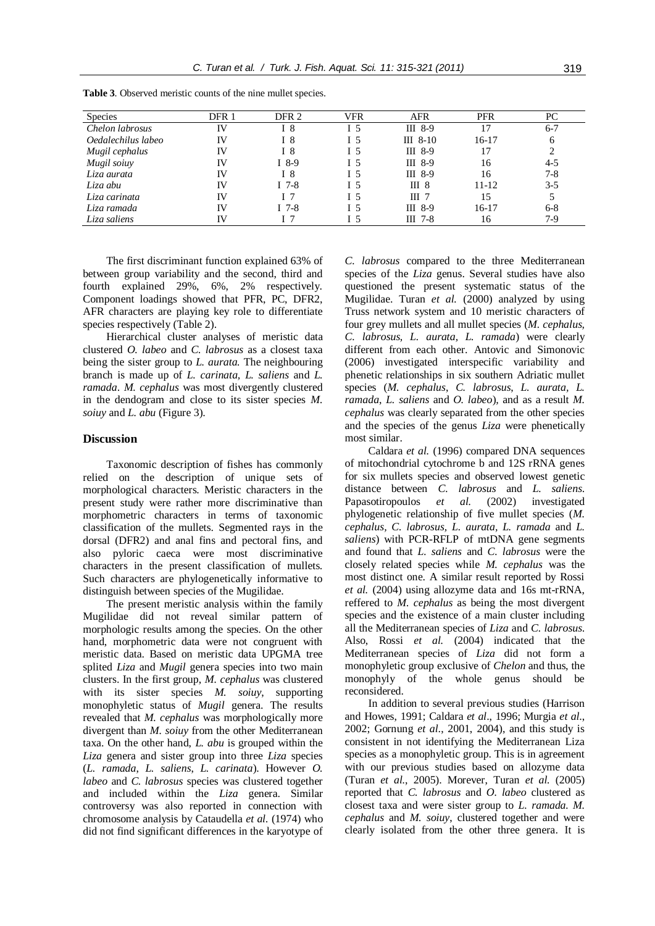| <b>Species</b>     | DFR 1     | DFR 2   | <b>VFR</b> | <b>AFR</b>       | <b>PFR</b> | PC      |
|--------------------|-----------|---------|------------|------------------|------------|---------|
| Chelon labrosus    | IV        | I 8     | I 5        | III 8-9          | 17         | $6 - 7$ |
| Oedalechilus labeo | <b>IV</b> | 18      | I 5        | $III$ 8-10       | 16-17      | 6       |
| Mugil cephalus     | IV        | I 8     | I 5        | $III$ 8-9        | 17         |         |
| Mugil soiuy        | <b>IV</b> | $I$ 8-9 | I 5        | III 8-9          | 16         | $4 - 5$ |
| Liza aurata        | IV        | I 8     | Ι5         | $III$ 8-9        | 16         | $7-8$   |
| Liza abu           | <b>IV</b> | $I$ 7-8 | I 5        | III <sub>8</sub> | $11 - 12$  | $3-5$   |
| Liza carinata      | <b>IV</b> | I 7     | I 5        | $III$ 7          | 15         |         |
| Liza ramada        | IV        | $I$ 7-8 | I 5        | $III$ 8-9        | 16-17      | $6 - 8$ |
| Liza saliens       | IV        |         | I5         | $III$ 7-8        | 16         | $7-9$   |

**Table 3**. Observed meristic counts of the nine mullet species.

The first discriminant function explained 63% of between group variability and the second, third and fourth explained 29%, 6%, 2% respectively. Component loadings showed that PFR, PC, DFR2, AFR characters are playing key role to differentiate species respectively (Table 2).

Hierarchical cluster analyses of meristic data clustered *O. labeo* and *C. labrosus* as a closest taxa being the sister group to *L. aurata.* The neighbouring branch is made up of *L. carinata, L. saliens* and *L. ramada*. *M. cephalus* was most divergently clustered in the dendogram and close to its sister species *M. soiuy* and *L. abu* (Figure 3).

# **Discussion**

Taxonomic description of fishes has commonly relied on the description of unique sets of morphological characters. Meristic characters in the present study were rather more discriminative than morphometric characters in terms of taxonomic classification of the mullets. Segmented rays in the dorsal (DFR2) and anal fins and pectoral fins, and also pyloric caeca were most discriminative characters in the present classification of mullets. Such characters are phylogenetically informative to distinguish between species of the Mugilidae.

The present meristic analysis within the family Mugilidae did not reveal similar pattern of morphologic results among the species. On the other hand, morphometric data were not congruent with meristic data. Based on meristic data UPGMA tree splited *Liza* and *Mugil* genera species into two main clusters. In the first group, *M. cephalus* was clustered with its sister species *M. soiuy*, supporting monophyletic status of *Mugil* genera. The results revealed that *M. cephalus* was morphologically more divergent than *M. soiuy* from the other Mediterranean taxa. On the other hand, *L. abu* is grouped within the *Liza* genera and sister group into three *Liza* species (*L. ramada*, *L. saliens*, *L. carinata*). However *O. labeo* and *C. labrosus* species was clustered together and included within the *Liza* genera. Similar controversy was also reported in connection with chromosome analysis by Cataudella *et al.* (1974) who did not find significant differences in the karyotype of

*C. labrosus* compared to the three Mediterranean species of the *Liza* genus. Several studies have also questioned the present systematic status of the Mugilidae. Turan *et al.* (2000) analyzed by using Truss network system and 10 meristic characters of four grey mullets and all mullet species (*M. cephalus, C. labrosus, L. aurata, L. ramada*) were clearly different from each other. Antovic and Simonovic (2006) investigated interspecific variability and phenetic relationships in six southern Adriatic mullet species (*M. cephalus*, *C. labrosus*, *L. aurata, L. ramada*, *L. saliens* and *O. labeo*)*,* and as a result *M. cephalus* was clearly separated from the other species and the species of the genus *Liza* were phenetically most similar.

Caldara *et al.* (1996) compared DNA sequences of mitochondrial cytochrome b and 12S rRNA genes for six mullets species and observed lowest genetic distance between *C. labrosus* and *L. saliens*. Papasotiropoulos *et al.* (2002) investigated phylogenetic relationship of five mullet species (*M. cephalus, C. labrosus, L. aurata, L. ramada* and *L. saliens*) with PCR-RFLP of mtDNA gene segments and found that *L. saliens* and *C. labrosus* were the closely related species while *M. cephalus* was the most distinct one. A similar result reported by Rossi *et al.* (2004) using allozyme data and 16s mt-rRNA, reffered to *M. cephalus* as being the most divergent species and the existence of a main cluster including all the Mediterranean species of *Liza* and *C. labrosus*. Also, Rossi *et al.* (2004) indicated that the Mediterranean species of *Liza* did not form a monophyletic group exclusive of *Chelon* and thus, the monophyly of the whole genus should be reconsidered.

In addition to several previous studies (Harrison and Howes, 1991; Caldara *et al*., 1996; Murgia *et al*., 2002; Gornung *et al*., 2001, 2004), and this study is consistent in not identifying the Mediterranean Liza species as a monophyletic group. This is in agreement with our previous studies based on allozyme data (Turan *et al.*, 2005). Morever, Turan *et al.* (2005) reported that *C. labrosus* and *O. labeo* clustered as closest taxa and were sister group to *L. ramada. M. cephalus* and *M. soiuy*, clustered together and were clearly isolated from the other three genera. It is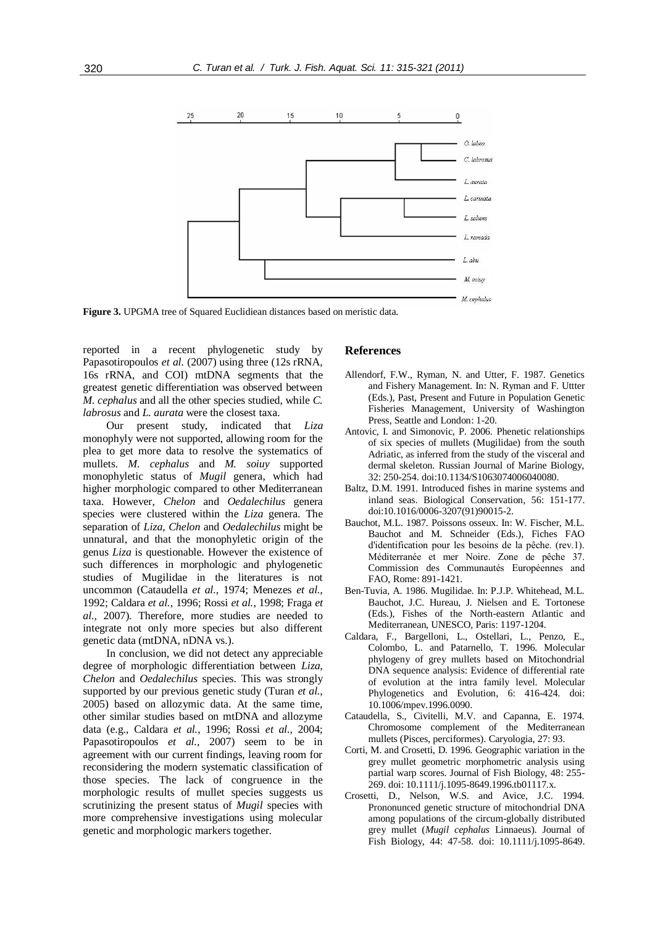

**Figure 3.** UPGMA tree of Squared Euclidiean distances based on meristic data.

reported in a recent phylogenetic study by Papasotiropoulos *et al.* (2007) using three (12s rRNA, 16s rRNA, and COI) mtDNA segments that the greatest genetic differentiation was observed between *M. cephalus* and all the other species studied, while *C. labrosus* and *L. aurata* were the closest taxa.

Our present study, indicated that *Liza* monophyly were not supported, allowing room for the plea to get more data to resolve the systematics of mullets. *M. cephalus* and *M. soiuy* supported monophyletic status of *Mugil* genera, which had higher morphologic compared to other Mediterranean taxa. However, *Chelon* and *Oedalechilus* genera species were clustered within the *Liza* genera. The separation of *Liza*, *Chelon* and *Oedalechilus* might be unnatural, and that the monophyletic origin of the genus *Liza* is questionable. However the existence of such differences in morphologic and phylogenetic studies of Mugilidae in the literatures is not uncommon (Cataudella *et al.,* 1974; Menezes *et al.,* 1992; Caldara *et al.,* 1996; Rossi *et al.,* 1998; Fraga *et al.,* 2007). Therefore, more studies are needed to integrate not only more species but also different genetic data (mtDNA, nDNA vs.).

In conclusion, we did not detect any appreciable degree of morphologic differentiation between *Liza, Chelon* and *Oedalechilus* species. This was strongly supported by our previous genetic study (Turan *et al.,* 2005) based on allozymic data. At the same time, other similar studies based on mtDNA and allozyme data (e.g., Caldara *et al.,* 1996; Rossi *et al.,* 2004; Papasotiropoulos *et al.*, 2007) seem to be in agreement with our current findings, leaving room for reconsidering the modern systematic classification of those species. The lack of congruence in the morphologic results of mullet species suggests us scrutinizing the present status of *Mugil* species with more comprehensive investigations using molecular genetic and morphologic markers together.

#### **References**

- Allendorf, F.W., Ryman, N. and Utter, F. 1987. Genetics and Fishery Management. In: N. Ryman and F. Uttter (Eds.), Past, Present and Future in Population Genetic Fisheries Management, University of Washington Press, Seattle and London: 1-20.
- Antovic, I. and Simonovic, P. 2006. Phenetic relationships of six species of mullets (Mugilidae) from the south Adriatic, as inferred from the study of the visceral and dermal skeleton. Russian Journal of Marine Biology, 32: 250-254. doi:10.1134/S1063074006040080.
- Baltz, D.M. 1991. Introduced fishes in marine systems and inland seas. Biological Conservation, 56: 151-177. doi:10.1016/0006-3207(91)90015-2.
- Bauchot, M.L. 1987. Poissons osseux. In: W. Fischer, M.L. Bauchot and M. Schneider (Eds.), Fiches FAO d'identification pour les besoins de la pêche. (rev.1). Méditerranée et mer Noire. Zone de pêche 37. Commission des Communautés Européennes and FAO, Rome: 891-1421.
- Ben-Tuvia, A. 1986. Mugilidae. In: P.J.P. Whitehead, M.L. Bauchot, J.C. Hureau, J. Nielsen and E. Tortonese (Eds.), Fishes of the North-eastern Atlantic and Mediterranean, UNESCO, Paris: 1197-1204.
- Caldara, F., Bargelloni, L., Ostellari, L., Penzo, E., Colombo, L. and Patarnello, T. 1996. Molecular phylogeny of grey mullets based on Mitochondrial DNA sequence analysis: Evidence of differential rate of evolution at the intra family level. Molecular Phylogenetics and Evolution, 6: 416-424. doi: 10.1006/mpev.1996.0090.
- Cataudella, S., Civitelli, M.V. and Capanna, E. 1974. Chromosome complement of the Mediterranean mullets (Pisces, perciformes). Caryologia, 27: 93.
- Corti, M. and Crosetti, D. 1996. Geographic variation in the grey mullet geometric morphometric analysis using partial warp scores. Journal of Fish Biology, 48: 255- 269. doi: 10.1111/j.1095-8649.1996.tb01117.x.
- Crosetti, D., Nelson, W.S. and Avice, J.C. 1994. Prononunced genetic structure of mitochondrial DNA among populations of the circum-globally distributed grey mullet (*Mugil cephalus* Linnaeus). Journal of Fish Biology, 44: 47-58. doi: 10.1111/j.1095-8649.